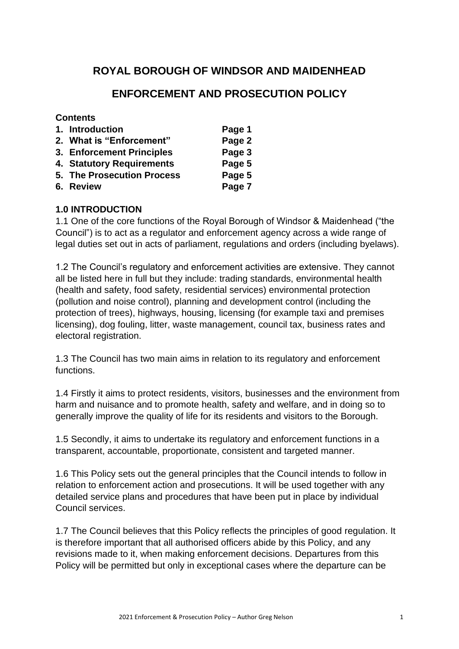# **ROYAL BOROUGH OF WINDSOR AND MAIDENHEAD**

# **ENFORCEMENT AND PROSECUTION POLICY**

## **Contents**

| 1. Introduction                   | Page 1 |
|-----------------------------------|--------|
| 2. What is "Enforcement"          | Page 2 |
| 3. Enforcement Principles         | Page 3 |
| 4. Statutory Requirements         | Page 5 |
| <b>5. The Prosecution Process</b> | Page 5 |
| 6. Review                         | Page 7 |

## **1.0 INTRODUCTION**

1.1 One of the core functions of the Royal Borough of Windsor & Maidenhead ("the Council") is to act as a regulator and enforcement agency across a wide range of legal duties set out in acts of parliament, regulations and orders (including byelaws).

1.2 The Council's regulatory and enforcement activities are extensive. They cannot all be listed here in full but they include: trading standards, environmental health (health and safety, food safety, residential services) environmental protection (pollution and noise control), planning and development control (including the protection of trees), highways, housing, licensing (for example taxi and premises licensing), dog fouling, litter, waste management, council tax, business rates and electoral registration.

1.3 The Council has two main aims in relation to its regulatory and enforcement functions.

1.4 Firstly it aims to protect residents, visitors, businesses and the environment from harm and nuisance and to promote health, safety and welfare, and in doing so to generally improve the quality of life for its residents and visitors to the Borough.

1.5 Secondly, it aims to undertake its regulatory and enforcement functions in a transparent, accountable, proportionate, consistent and targeted manner.

1.6 This Policy sets out the general principles that the Council intends to follow in relation to enforcement action and prosecutions. It will be used together with any detailed service plans and procedures that have been put in place by individual Council services.

1.7 The Council believes that this Policy reflects the principles of good regulation. It is therefore important that all authorised officers abide by this Policy, and any revisions made to it, when making enforcement decisions. Departures from this Policy will be permitted but only in exceptional cases where the departure can be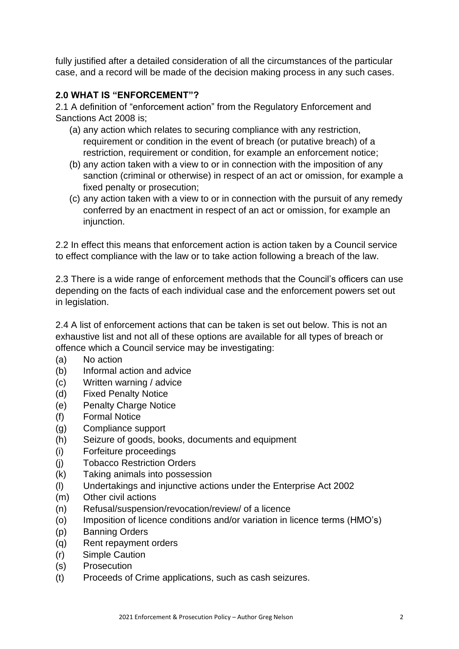fully justified after a detailed consideration of all the circumstances of the particular case, and a record will be made of the decision making process in any such cases.

## **2.0 WHAT IS "ENFORCEMENT"?**

2.1 A definition of "enforcement action" from the Regulatory Enforcement and Sanctions Act 2008 is;

- (a) any action which relates to securing compliance with any restriction, requirement or condition in the event of breach (or putative breach) of a restriction, requirement or condition, for example an enforcement notice;
- (b) any action taken with a view to or in connection with the imposition of any sanction (criminal or otherwise) in respect of an act or omission, for example a fixed penalty or prosecution;
- (c) any action taken with a view to or in connection with the pursuit of any remedy conferred by an enactment in respect of an act or omission, for example an injunction.

2.2 In effect this means that enforcement action is action taken by a Council service to effect compliance with the law or to take action following a breach of the law.

2.3 There is a wide range of enforcement methods that the Council's officers can use depending on the facts of each individual case and the enforcement powers set out in legislation.

2.4 A list of enforcement actions that can be taken is set out below. This is not an exhaustive list and not all of these options are available for all types of breach or offence which a Council service may be investigating:

- (a) No action
- (b) Informal action and advice
- (c) Written warning / advice
- (d) Fixed Penalty Notice
- (e) Penalty Charge Notice
- (f) Formal Notice
- (g) Compliance support
- (h) Seizure of goods, books, documents and equipment
- (i) Forfeiture proceedings
- (j) Tobacco Restriction Orders
- (k) Taking animals into possession
- (l) Undertakings and injunctive actions under the Enterprise Act 2002
- (m) Other civil actions
- (n) Refusal/suspension/revocation/review/ of a licence
- (o) Imposition of licence conditions and/or variation in licence terms (HMO's)
- (p) Banning Orders
- (q) Rent repayment orders
- (r) Simple Caution
- (s) Prosecution
- (t) Proceeds of Crime applications, such as cash seizures.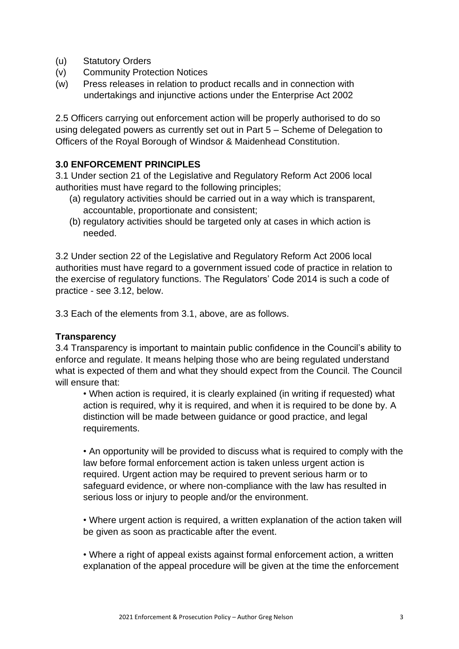- (u) Statutory Orders
- (v) Community Protection Notices
- (w) Press releases in relation to product recalls and in connection with undertakings and injunctive actions under the Enterprise Act 2002

2.5 Officers carrying out enforcement action will be properly authorised to do so using delegated powers as currently set out in Part 5 – Scheme of Delegation to Officers of the Royal Borough of Windsor & Maidenhead Constitution.

## **3.0 ENFORCEMENT PRINCIPLES**

3.1 Under section 21 of the Legislative and Regulatory Reform Act 2006 local authorities must have regard to the following principles;

- (a) regulatory activities should be carried out in a way which is transparent, accountable, proportionate and consistent;
- (b) regulatory activities should be targeted only at cases in which action is needed.

3.2 Under section 22 of the Legislative and Regulatory Reform Act 2006 local authorities must have regard to a government issued code of practice in relation to the exercise of regulatory functions. The Regulators' Code 2014 is such a code of practice - see 3.12, below.

3.3 Each of the elements from 3.1, above, are as follows.

#### **Transparency**

3.4 Transparency is important to maintain public confidence in the Council's ability to enforce and regulate. It means helping those who are being regulated understand what is expected of them and what they should expect from the Council. The Council will ensure that:

• When action is required, it is clearly explained (in writing if requested) what action is required, why it is required, and when it is required to be done by. A distinction will be made between guidance or good practice, and legal requirements.

• An opportunity will be provided to discuss what is required to comply with the law before formal enforcement action is taken unless urgent action is required. Urgent action may be required to prevent serious harm or to safeguard evidence, or where non-compliance with the law has resulted in serious loss or injury to people and/or the environment.

• Where urgent action is required, a written explanation of the action taken will be given as soon as practicable after the event.

• Where a right of appeal exists against formal enforcement action, a written explanation of the appeal procedure will be given at the time the enforcement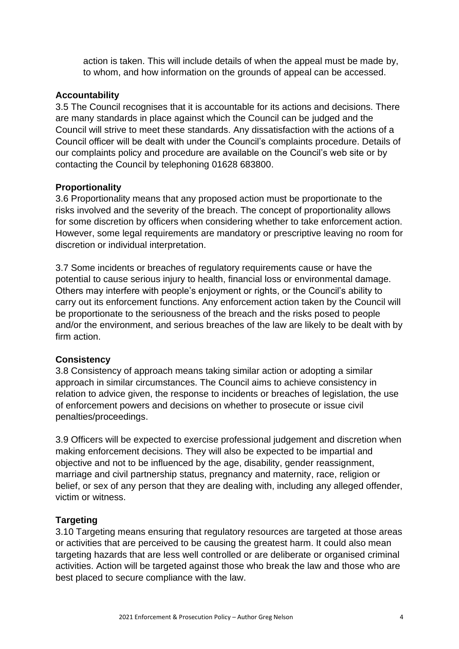action is taken. This will include details of when the appeal must be made by, to whom, and how information on the grounds of appeal can be accessed.

#### **Accountability**

3.5 The Council recognises that it is accountable for its actions and decisions. There are many standards in place against which the Council can be judged and the Council will strive to meet these standards. Any dissatisfaction with the actions of a Council officer will be dealt with under the Council's complaints procedure. Details of our complaints policy and procedure are available on the Council's web site or by contacting the Council by telephoning 01628 683800.

#### **Proportionality**

3.6 Proportionality means that any proposed action must be proportionate to the risks involved and the severity of the breach. The concept of proportionality allows for some discretion by officers when considering whether to take enforcement action. However, some legal requirements are mandatory or prescriptive leaving no room for discretion or individual interpretation.

3.7 Some incidents or breaches of regulatory requirements cause or have the potential to cause serious injury to health, financial loss or environmental damage. Others may interfere with people's enjoyment or rights, or the Council's ability to carry out its enforcement functions. Any enforcement action taken by the Council will be proportionate to the seriousness of the breach and the risks posed to people and/or the environment, and serious breaches of the law are likely to be dealt with by firm action.

#### **Consistency**

3.8 Consistency of approach means taking similar action or adopting a similar approach in similar circumstances. The Council aims to achieve consistency in relation to advice given, the response to incidents or breaches of legislation, the use of enforcement powers and decisions on whether to prosecute or issue civil penalties/proceedings.

3.9 Officers will be expected to exercise professional judgement and discretion when making enforcement decisions. They will also be expected to be impartial and objective and not to be influenced by the age, disability, gender reassignment, marriage and civil partnership status, pregnancy and maternity, race, religion or belief, or sex of any person that they are dealing with, including any alleged offender, victim or witness.

#### **Targeting**

3.10 Targeting means ensuring that regulatory resources are targeted at those areas or activities that are perceived to be causing the greatest harm. It could also mean targeting hazards that are less well controlled or are deliberate or organised criminal activities. Action will be targeted against those who break the law and those who are best placed to secure compliance with the law.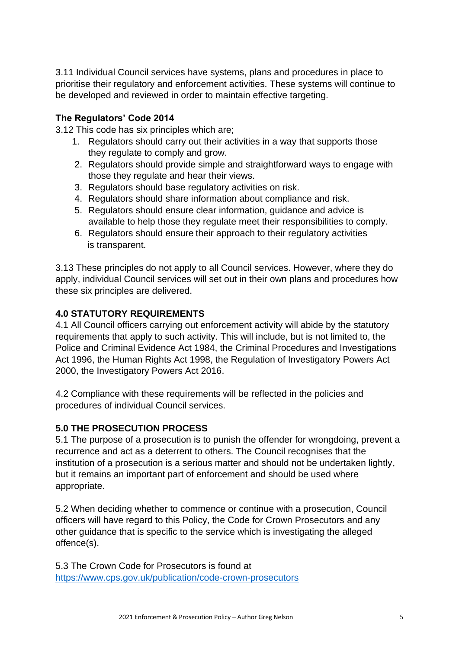3.11 Individual Council services have systems, plans and procedures in place to prioritise their regulatory and enforcement activities. These systems will continue to be developed and reviewed in order to maintain effective targeting.

## **The Regulators' Code 2014**

3.12 This code has six principles which are;

- 1. Regulators should carry out their activities in a way that supports those they regulate to comply and grow.
- 2. Regulators should provide simple and straightforward ways to engage with those they regulate and hear their views.
- 3. Regulators should base regulatory activities on risk.
- 4. Regulators should share information about compliance and risk.
- 5. Regulators should ensure clear information, guidance and advice is available to help those they regulate meet their responsibilities to comply.
- 6. Regulators should ensure their approach to their regulatory activities is transparent.

3.13 These principles do not apply to all Council services. However, where they do apply, individual Council services will set out in their own plans and procedures how these six principles are delivered.

## **4.0 STATUTORY REQUIREMENTS**

4.1 All Council officers carrying out enforcement activity will abide by the statutory requirements that apply to such activity. This will include, but is not limited to, the Police and Criminal Evidence Act 1984, the Criminal Procedures and Investigations Act 1996, the Human Rights Act 1998, the Regulation of Investigatory Powers Act 2000, the Investigatory Powers Act 2016.

4.2 Compliance with these requirements will be reflected in the policies and procedures of individual Council services.

## **5.0 THE PROSECUTION PROCESS**

5.1 The purpose of a prosecution is to punish the offender for wrongdoing, prevent a recurrence and act as a deterrent to others. The Council recognises that the institution of a prosecution is a serious matter and should not be undertaken lightly, but it remains an important part of enforcement and should be used where appropriate.

5.2 When deciding whether to commence or continue with a prosecution, Council officers will have regard to this Policy, the Code for Crown Prosecutors and any other guidance that is specific to the service which is investigating the alleged offence(s).

5.3 The Crown Code for Prosecutors is found at <https://www.cps.gov.uk/publication/code-crown-prosecutors>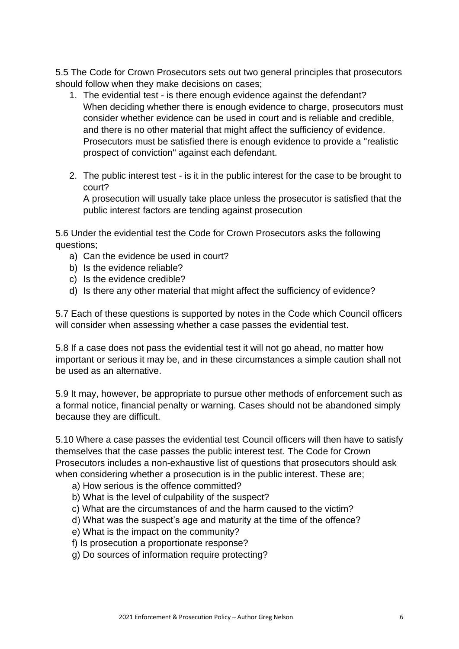5.5 The Code for Crown Prosecutors sets out two general principles that prosecutors should follow when they make decisions on cases;

- 1. The evidential test is there enough evidence against the defendant? When deciding whether there is enough evidence to charge, prosecutors must consider whether evidence can be used in court and is reliable and credible, and there is no other material that might affect the sufficiency of evidence. Prosecutors must be satisfied there is enough evidence to provide a "realistic prospect of conviction" against each defendant.
- 2. The public interest test is it in the public interest for the case to be brought to court?

A prosecution will usually take place unless the prosecutor is satisfied that the public interest factors are tending against prosecution

5.6 Under the evidential test the Code for Crown Prosecutors asks the following questions;

- a) Can the evidence be used in court?
- b) Is the evidence reliable?
- c) Is the evidence credible?
- d) Is there any other material that might affect the sufficiency of evidence?

5.7 Each of these questions is supported by notes in the Code which Council officers will consider when assessing whether a case passes the evidential test.

5.8 If a case does not pass the evidential test it will not go ahead, no matter how important or serious it may be, and in these circumstances a simple caution shall not be used as an alternative.

5.9 It may, however, be appropriate to pursue other methods of enforcement such as a formal notice, financial penalty or warning. Cases should not be abandoned simply because they are difficult.

5.10 Where a case passes the evidential test Council officers will then have to satisfy themselves that the case passes the public interest test. The Code for Crown Prosecutors includes a non-exhaustive list of questions that prosecutors should ask when considering whether a prosecution is in the public interest. These are;

- a) How serious is the offence committed?
- b) What is the level of culpability of the suspect?
- c) What are the circumstances of and the harm caused to the victim?
- d) What was the suspect's age and maturity at the time of the offence?
- e) What is the impact on the community?
- f) Is prosecution a proportionate response?
- g) Do sources of information require protecting?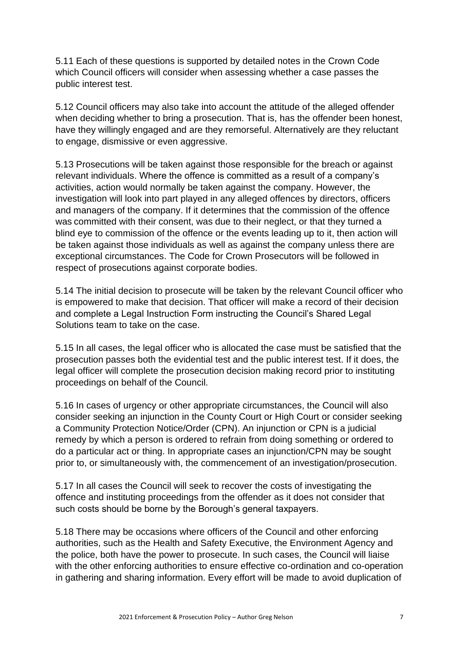5.11 Each of these questions is supported by detailed notes in the Crown Code which Council officers will consider when assessing whether a case passes the public interest test.

5.12 Council officers may also take into account the attitude of the alleged offender when deciding whether to bring a prosecution. That is, has the offender been honest, have they willingly engaged and are they remorseful. Alternatively are they reluctant to engage, dismissive or even aggressive.

5.13 Prosecutions will be taken against those responsible for the breach or against relevant individuals. Where the offence is committed as a result of a company's activities, action would normally be taken against the company. However, the investigation will look into part played in any alleged offences by directors, officers and managers of the company. If it determines that the commission of the offence was committed with their consent, was due to their neglect, or that they turned a blind eye to commission of the offence or the events leading up to it, then action will be taken against those individuals as well as against the company unless there are exceptional circumstances. The Code for Crown Prosecutors will be followed in respect of prosecutions against corporate bodies.

5.14 The initial decision to prosecute will be taken by the relevant Council officer who is empowered to make that decision. That officer will make a record of their decision and complete a Legal Instruction Form instructing the Council's Shared Legal Solutions team to take on the case.

5.15 In all cases, the legal officer who is allocated the case must be satisfied that the prosecution passes both the evidential test and the public interest test. If it does, the legal officer will complete the prosecution decision making record prior to instituting proceedings on behalf of the Council.

5.16 In cases of urgency or other appropriate circumstances, the Council will also consider seeking an injunction in the County Court or High Court or consider seeking a Community Protection Notice/Order (CPN). An injunction or CPN is a judicial remedy by which a person is ordered to refrain from doing something or ordered to do a particular act or thing. In appropriate cases an injunction/CPN may be sought prior to, or simultaneously with, the commencement of an investigation/prosecution.

5.17 In all cases the Council will seek to recover the costs of investigating the offence and instituting proceedings from the offender as it does not consider that such costs should be borne by the Borough's general taxpayers.

5.18 There may be occasions where officers of the Council and other enforcing authorities, such as the Health and Safety Executive, the Environment Agency and the police, both have the power to prosecute. In such cases, the Council will liaise with the other enforcing authorities to ensure effective co-ordination and co-operation in gathering and sharing information. Every effort will be made to avoid duplication of